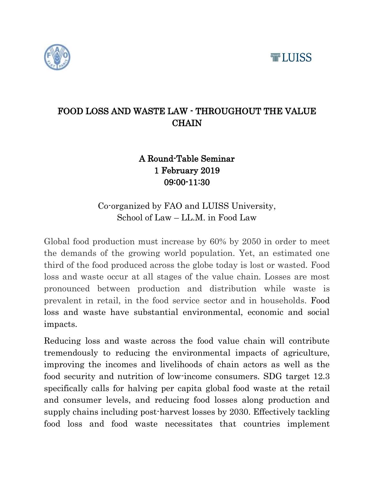



## FOOD LOSS AND WASTE LAW - THROUGHOUT THE VALUE **CHAIN**

## A Round-Table Seminar 1 February 2019 09:00-11:30

### Co-organized by FAO and LUISS University, School of Law – LL.M. in Food Law

Global food production must increase by 60% by 2050 in order to meet the demands of the growing world population. Yet, an estimated one third of the food produced across the globe today is lost or wasted. Food loss and waste occur at all stages of the value chain. Losses are most pronounced between production and distribution while waste is prevalent in retail, in the food service sector and in households. Food loss and waste have substantial environmental, economic and social impacts.

Reducing loss and waste across the food value chain will contribute tremendously to reducing the environmental impacts of agriculture, improving the incomes and livelihoods of chain actors as well as the food security and nutrition of low-income consumers. SDG target 12.3 specifically calls for halving per capita global food waste at the retail and consumer levels, and reducing food losses along production and supply chains including post-harvest losses by 2030. Effectively tackling food loss and food waste necessitates that countries implement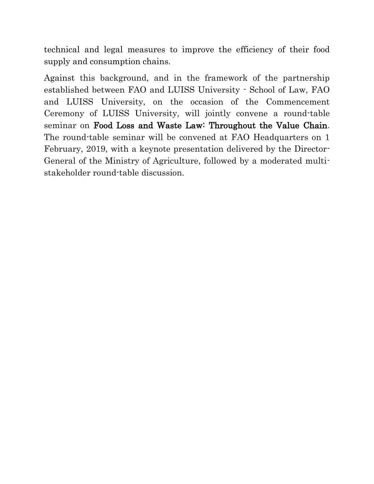technical and legal measures to improve the efficiency of their food supply and consumption chains.

Against this background, and in the framework of the partnership established between FAO and LUISS University - School of Law, FAO and LUISS University, on the occasion of the Commencement Ceremony of LUISS University, will jointly convene a round-table seminar on Food Loss and Waste Law: Throughout the Value Chain. The round-table seminar will be convened at FAO Headquarters on 1 February, 2019, with a keynote presentation delivered by the Director-General of the Ministry of Agriculture, followed by a moderated multistakeholder round-table discussion.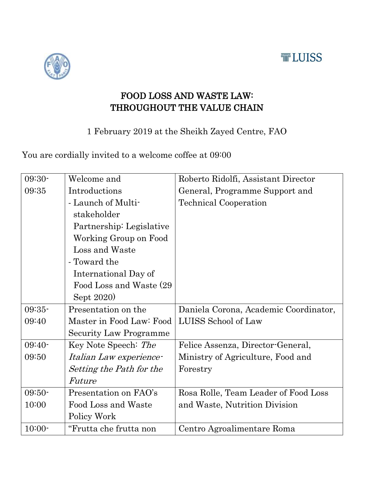# **TELUISS**



# FOOD LOSS AND WASTE LAW: THROUGHOUT THE VALUE CHAIN

1 February 2019 at the Sheikh Zayed Centre, FAO

You are cordially invited to a welcome coffee at 09:00

| $09:30-$ | Welcome and              | Roberto Ridolfi, Assistant Director   |
|----------|--------------------------|---------------------------------------|
| 09:35    | Introductions            | General, Programme Support and        |
|          | - Launch of Multi-       | <b>Technical Cooperation</b>          |
|          | stakeholder              |                                       |
|          | Partnership: Legislative |                                       |
|          | Working Group on Food    |                                       |
|          | Loss and Waste           |                                       |
|          | - Toward the             |                                       |
|          | International Day of     |                                       |
|          | Food Loss and Waste (29) |                                       |
|          | Sept 2020)               |                                       |
| $09:35-$ | Presentation on the      | Daniela Corona, Academic Coordinator, |
| 09:40    | Master in Food Law: Food | LUISS School of Law                   |
|          |                          |                                       |
|          | Security Law Programme   |                                       |
| $09:40-$ | Key Note Speech: The     | Felice Assenza, Director-General,     |
| 09:50    | Italian Law experience-  | Ministry of Agriculture, Food and     |
|          | Setting the Path for the | Forestry                              |
|          | Future                   |                                       |
| $09:50-$ | Presentation on FAO's    | Rosa Rolle, Team Leader of Food Loss  |
| 10:00    | Food Loss and Waste      | and Waste, Nutrition Division         |
|          | Policy Work              |                                       |